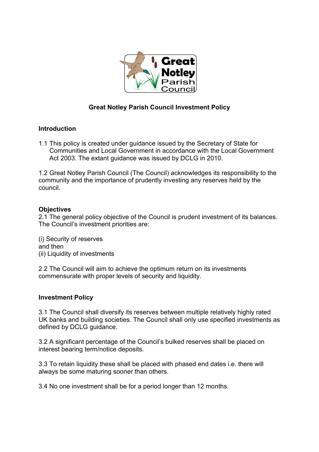

## **Great Notley Parish Council Investment Policy**

## **Introduction**

1.1 This policy is created under guidance issued by the Secretary of State for Communities and Local Government in accordance with the Local Government Act 2003. The extant guidance was issued by DCLG in 2010.

1.2 Great Notley Parish Council (The Council) acknowledges its responsibility to the community and the importance of prudently investing any reserves held by the council.

## **Objectives**

2.1 The general policy objective of the Council is prudent investment of its balances. The Council's investment priorities are:

(i) Security of reserves and then (ii) Liquidity of investments

2.2 The Council will aim to achieve the optimum return on its investments commensurate with proper levels of security and liquidity.

## **Investment Policy**

3.1 The Council shall diversify its reserves between multiple relatively highly rated UK banks and building societies. The Council shall only use specified investments as defined by DCLG guidance.

3.2 A significant percentage of the Council's bulked reserves shall be placed on interest bearing term/notice deposits.

3.3 To retain liquidity these shall be placed with phased end dates i.e. there will always be some maturing sooner than others.

3.4 No one investment shall be for a period longer than 12 months.